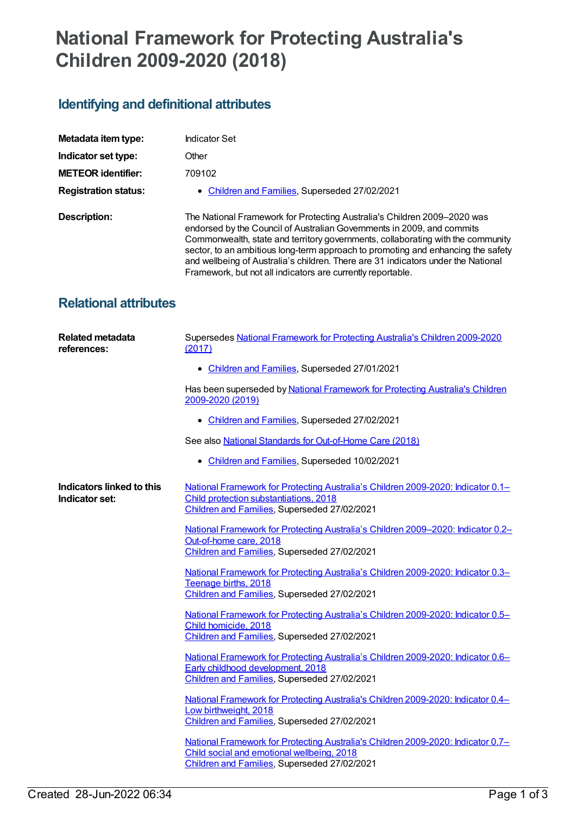## **National Framework for Protecting Australia's Children 2009-2020 (2018)**

## **Identifying and definitional attributes**

| Metadata item type:          | Indicator Set                                                                                                                                                                                                                                                                                                                                                                                                                                                                 |
|------------------------------|-------------------------------------------------------------------------------------------------------------------------------------------------------------------------------------------------------------------------------------------------------------------------------------------------------------------------------------------------------------------------------------------------------------------------------------------------------------------------------|
| Indicator set type:          | Other                                                                                                                                                                                                                                                                                                                                                                                                                                                                         |
| <b>METEOR identifier:</b>    | 709102                                                                                                                                                                                                                                                                                                                                                                                                                                                                        |
| <b>Registration status:</b>  | • Children and Families, Superseded 27/02/2021                                                                                                                                                                                                                                                                                                                                                                                                                                |
| Description:                 | The National Framework for Protecting Australia's Children 2009-2020 was<br>endorsed by the Council of Australian Governments in 2009, and commits<br>Commonwealth, state and territory governments, collaborating with the community<br>sector, to an ambitious long-term approach to promoting and enhancing the safety<br>and wellbeing of Australia's children. There are 31 indicators under the National<br>Framework, but not all indicators are currently reportable. |
| <b>Relational attributes</b> |                                                                                                                                                                                                                                                                                                                                                                                                                                                                               |

| <b>Related metadata</b><br>references:      | Supersedes National Framework for Protecting Australia's Children 2009-2020<br>(2017)                                                                                          |
|---------------------------------------------|--------------------------------------------------------------------------------------------------------------------------------------------------------------------------------|
|                                             | • Children and Families, Superseded 27/01/2021                                                                                                                                 |
|                                             | Has been superseded by National Framework for Protecting Australia's Children<br>2009-2020 (2019)                                                                              |
|                                             | • Children and Families, Superseded 27/02/2021                                                                                                                                 |
|                                             | See also National Standards for Out-of-Home Care (2018)                                                                                                                        |
|                                             | • Children and Families, Superseded 10/02/2021                                                                                                                                 |
| Indicators linked to this<br>Indicator set: | National Framework for Protecting Australia's Children 2009-2020: Indicator 0.1-<br>Child protection substantiations, 2018<br>Children and Families, Superseded 27/02/2021     |
|                                             | National Framework for Protecting Australia's Children 2009-2020: Indicator 0.2-<br>Out-of-home care, 2018<br>Children and Families, Superseded 27/02/2021                     |
|                                             | National Framework for Protecting Australia's Children 2009-2020: Indicator 0.3-<br>Teenage births, 2018<br>Children and Families, Superseded 27/02/2021                       |
|                                             | National Framework for Protecting Australia's Children 2009-2020: Indicator 0.5-<br>Child homicide, 2018<br>Children and Families, Superseded 27/02/2021                       |
|                                             | National Framework for Protecting Australia's Children 2009-2020: Indicator 0.6-<br>Early childhood development, 2018<br>Children and Families, Superseded 27/02/2021          |
|                                             | National Framework for Protecting Australia's Children 2009-2020: Indicator 0.4-<br>Low birthweight, 2018<br>Children and Families, Superseded 27/02/2021                      |
|                                             | National Framework for Protecting Australia's Children 2009-2020: Indicator 0.7-<br>Child social and emotional wellbeing, 2018<br>Children and Families, Superseded 27/02/2021 |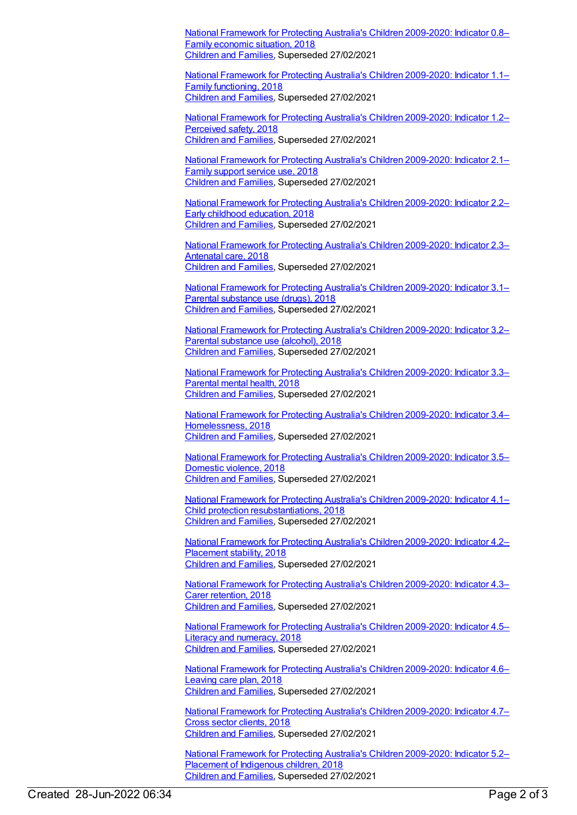National Framework for Protecting Australia's Children [2009-2020:](https://meteor.aihw.gov.au/content/709108) Indicator 0.8– Family economic situation, 2018 [Children](https://meteor.aihw.gov.au/RegistrationAuthority/17) and Families, Superseded 27/02/2021

National Framework for Protecting Australia's Children [2009-2020:](https://meteor.aihw.gov.au/content/709110) Indicator 1.1– Family functioning, 2018 [Children](https://meteor.aihw.gov.au/RegistrationAuthority/17) and Families, Superseded 27/02/2021

National Framework for Protecting Australia's Children [2009-2020:](https://meteor.aihw.gov.au/content/709112) Indicator 1.2– Perceived safety, 2018 [Children](https://meteor.aihw.gov.au/RegistrationAuthority/17) and Families, Superseded 27/02/2021

National Framework for Protecting Australia's Children [2009-2020:](https://meteor.aihw.gov.au/content/709114) Indicator 2.1– Family support service use, 2018 [Children](https://meteor.aihw.gov.au/RegistrationAuthority/17) and Families, Superseded 27/02/2021

National Framework for Protecting Australia's Children [2009-2020:](https://meteor.aihw.gov.au/content/709116) Indicator 2.2– Early childhood education, 2018 [Children](https://meteor.aihw.gov.au/RegistrationAuthority/17) and Families, Superseded 27/02/2021

National Framework for Protecting Australia's Children [2009-2020:](https://meteor.aihw.gov.au/content/709118) Indicator 2.3– Antenatal care, 2018 [Children](https://meteor.aihw.gov.au/RegistrationAuthority/17) and Families, Superseded 27/02/2021

National Framework for Protecting Australia's Children [2009-2020:](https://meteor.aihw.gov.au/content/737833) Indicator 3.1– Parental substance use (drugs), 2018 [Children](https://meteor.aihw.gov.au/RegistrationAuthority/17) and Families, Superseded 27/02/2021

National Framework for Protecting Australia's Children [2009-2020:](https://meteor.aihw.gov.au/content/709122) Indicator 3.2– Parental substance use (alcohol), 2018 [Children](https://meteor.aihw.gov.au/RegistrationAuthority/17) and Families, Superseded 27/02/2021

National Framework for Protecting Australia's Children [2009-2020:](https://meteor.aihw.gov.au/content/709124) Indicator 3.3– Parental mental health, 2018 [Children](https://meteor.aihw.gov.au/RegistrationAuthority/17) and Families, Superseded 27/02/2021

National Framework for Protecting Australia's Children 2009-2020: Indicator 3.4– [Homelessness,](https://meteor.aihw.gov.au/content/709126) 2018 [Children](https://meteor.aihw.gov.au/RegistrationAuthority/17) and Families, Superseded 27/02/2021

National Framework for Protecting Australia's Children [2009-2020:](https://meteor.aihw.gov.au/content/709128) Indicator 3.5– Domestic violence, 2018 [Children](https://meteor.aihw.gov.au/RegistrationAuthority/17) and Families, Superseded 27/02/2021

National Framework for Protecting Australia's Children 2009-2020: Indicator 4.1– Child protection [resubstantiations,](https://meteor.aihw.gov.au/content/709130) 2018 [Children](https://meteor.aihw.gov.au/RegistrationAuthority/17) and Families, Superseded 27/02/2021

National Framework for Protecting Australia's Children [2009-2020:](https://meteor.aihw.gov.au/content/709132) Indicator 4.2– Placement stability, 2018 [Children](https://meteor.aihw.gov.au/RegistrationAuthority/17) and Families, Superseded 27/02/2021

National Framework for Protecting Australia's Children [2009-2020:](https://meteor.aihw.gov.au/content/709136) Indicator 4.3– Carer retention, 2018 [Children](https://meteor.aihw.gov.au/RegistrationAuthority/17) and Families, Superseded 27/02/2021

National Framework for Protecting Australia's Children [2009-2020:](https://meteor.aihw.gov.au/content/709962) Indicator 4.5– Literacy and numeracy, 2018 [Children](https://meteor.aihw.gov.au/RegistrationAuthority/17) and Families, Superseded 27/02/2021

National Framework for Protecting Australia's Children [2009-2020:](https://meteor.aihw.gov.au/content/709142) Indicator 4.6– Leaving care plan, 2018 [Children](https://meteor.aihw.gov.au/RegistrationAuthority/17) and Families, Superseded 27/02/2021

National Framework for Protecting Australia's Children [2009-2020:](https://meteor.aihw.gov.au/content/709145) Indicator 4.7– Cross sector clients, 2018 [Children](https://meteor.aihw.gov.au/RegistrationAuthority/17) and Families, Superseded 27/02/2021

National Framework for Protecting Australia's Children [2009-2020:](https://meteor.aihw.gov.au/content/709147) Indicator 5.2– Placement of Indigenous children, 2018 [Children](https://meteor.aihw.gov.au/RegistrationAuthority/17) and Families, Superseded 27/02/2021